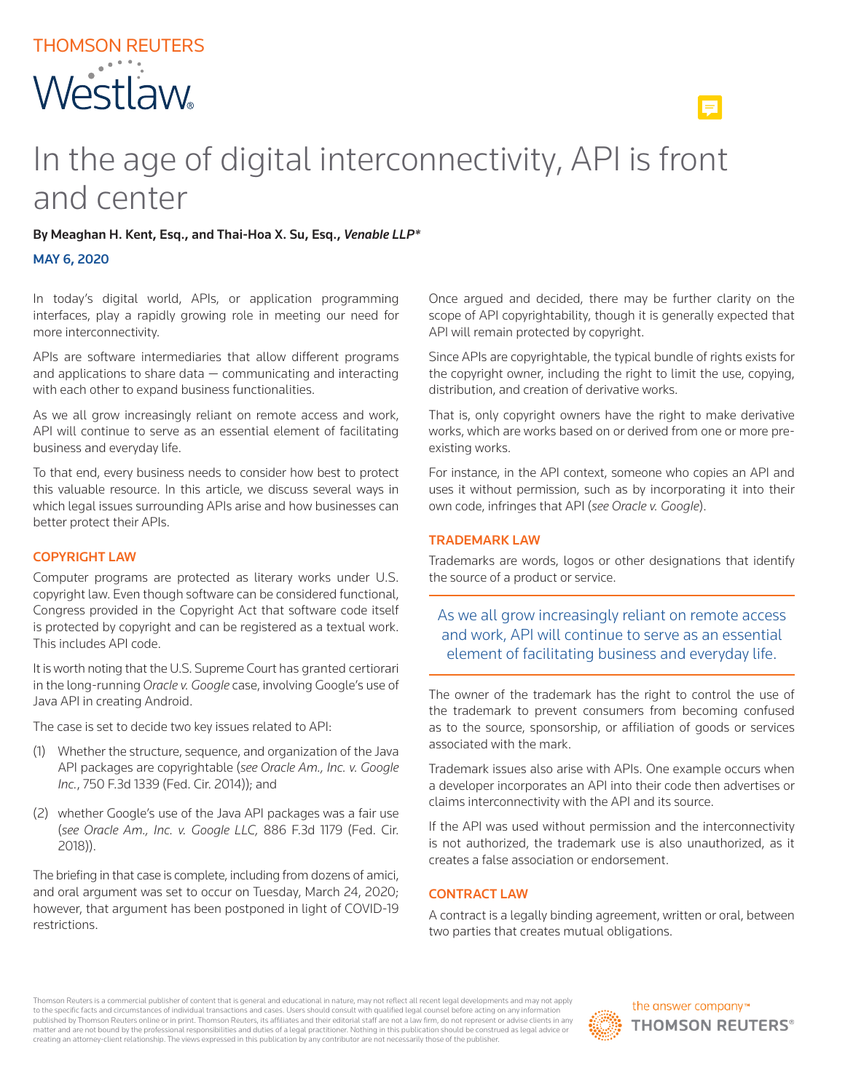# In the age of digital interconnectivity, API is front and center

## By Meaghan H. Kent, Esq., and Thai-Hoa X. Su, Esq., *Venable LLP\**

#### MAY 6, 2020

In today's digital world, APIs, or application programming interfaces, play a rapidly growing role in meeting our need for more interconnectivity.

APIs are software intermediaries that allow different programs and applications to share data — communicating and interacting with each other to expand business functionalities.

As we all grow increasingly reliant on remote access and work, API will continue to serve as an essential element of facilitating business and everyday life.

To that end, every business needs to consider how best to protect this valuable resource. In this article, we discuss several ways in which legal issues surrounding APIs arise and how businesses can better protect their APIs.

### COPYRIGHT LAW

Computer programs are protected as literary works under U.S. copyright law. Even though software can be considered functional, Congress provided in the Copyright Act that software code itself is protected by copyright and can be registered as a textual work. This includes API code.

It is worth noting that the U.S. Supreme Court has granted certiorari in the long-running *Oracle v. Google* case, involving Google's use of Java API in creating Android.

The case is set to decide two key issues related to API:

- (1) Whether the structure, sequence, and organization of the Java API packages are copyrightable (*see Oracle Am., Inc. v. Google Inc.*, 750 F.3d 1339 (Fed. Cir. 2014)); and
- (2) whether Google's use of the Java API packages was a fair use (*see Oracle Am., Inc. v. Google LLC,* 886 F.3d 1179 (Fed. Cir. 2018)).

The briefing in that case is complete, including from dozens of amici, and oral argument was set to occur on Tuesday, March 24, 2020; however, that argument has been postponed in light of COVID-19 restrictions.

Once argued and decided, there may be further clarity on the scope of API copyrightability, though it is generally expected that API will remain protected by copyright.

Since APIs are copyrightable, the typical bundle of rights exists for the copyright owner, including the right to limit the use, copying, distribution, and creation of derivative works.

That is, only copyright owners have the right to make derivative works, which are works based on or derived from one or more preexisting works.

For instance, in the API context, someone who copies an API and uses it without permission, such as by incorporating it into their own code, infringes that API (*see Oracle v. Google*).

#### TRADEMARK LAW

Trademarks are words, logos or other designations that identify the source of a product or service.

As we all grow increasingly reliant on remote access and work, API will continue to serve as an essential element of facilitating business and everyday life.

The owner of the trademark has the right to control the use of the trademark to prevent consumers from becoming confused as to the source, sponsorship, or affiliation of goods or services associated with the mark.

Trademark issues also arise with APIs. One example occurs when a developer incorporates an API into their code then advertises or claims interconnectivity with the API and its source.

If the API was used without permission and the interconnectivity is not authorized, the trademark use is also unauthorized, as it creates a false association or endorsement.

### CONTRACT LAW

A contract is a legally binding agreement, written or oral, between two parties that creates mutual obligations.

Thomson Reuters is a commercial publisher of content that is general and educational in nature, may not reflect all recent legal developments and may not apply to the specific facts and circumstances of individual transactions and cases. Users should consult with qualified legal counsel before acting on any information<br>published by Thomson Reuters online or in print. Thomson Reut matter and are not bound by the professional responsibilities and duties of a legal practitioner. Nothing in this publication should be construed as legal advice or creating an attorney-client relationship. The views expressed in this publication by any contributor are not necessarily those of the publisher.

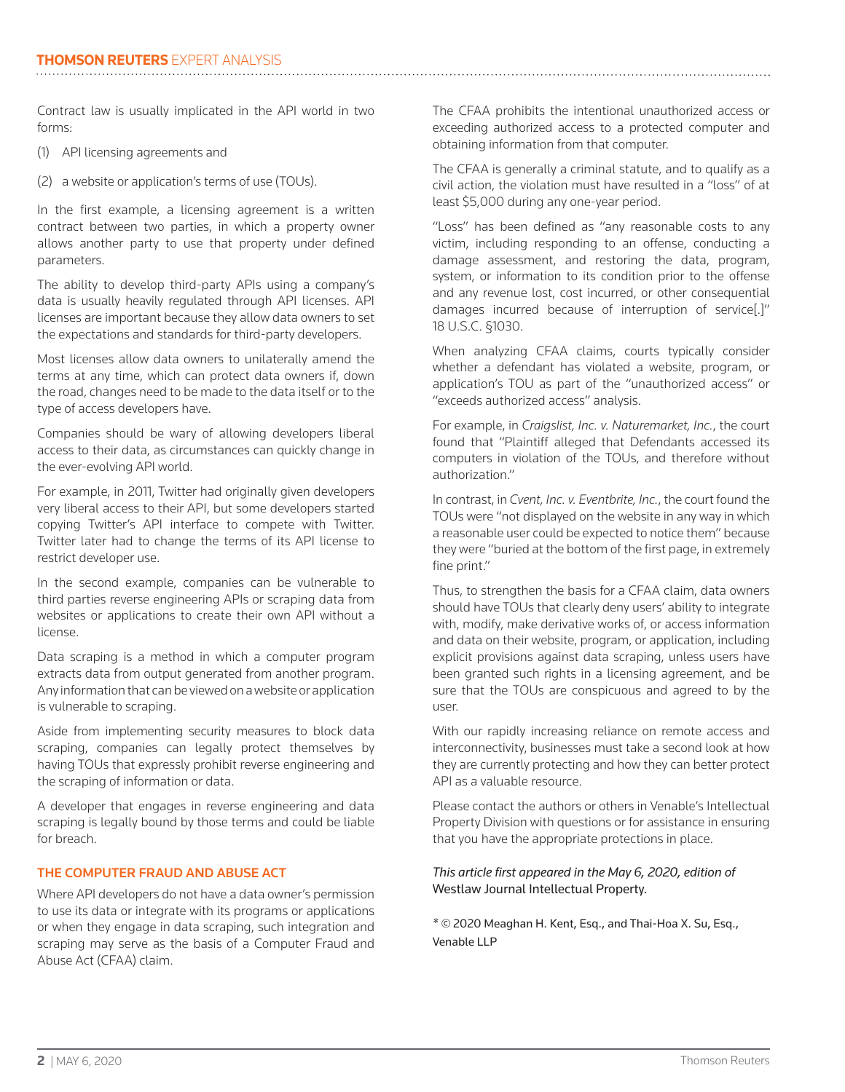Contract law is usually implicated in the API world in two forms:

- (1) API licensing agreements and
- (2) a website or application's terms of use (TOUs).

In the first example, a licensing agreement is a written contract between two parties, in which a property owner allows another party to use that property under defined parameters.

The ability to develop third-party APIs using a company's data is usually heavily regulated through API licenses. API licenses are important because they allow data owners to set the expectations and standards for third-party developers.

Most licenses allow data owners to unilaterally amend the terms at any time, which can protect data owners if, down the road, changes need to be made to the data itself or to the type of access developers have.

Companies should be wary of allowing developers liberal access to their data, as circumstances can quickly change in the ever-evolving API world.

For example, in 2011, Twitter had originally given developers very liberal access to their API, but some developers started copying Twitter's API interface to compete with Twitter. Twitter later had to change the terms of its API license to restrict developer use.

In the second example, companies can be vulnerable to third parties reverse engineering APIs or scraping data from websites or applications to create their own API without a license.

Data scraping is a method in which a computer program extracts data from output generated from another program. Any information that can be viewed on a website or application is vulnerable to scraping.

Aside from implementing security measures to block data scraping, companies can legally protect themselves by having TOUs that expressly prohibit reverse engineering and the scraping of information or data.

A developer that engages in reverse engineering and data scraping is legally bound by those terms and could be liable for breach.

## THE COMPUTER FRAUD AND ABUSE ACT

Where API developers do not have a data owner's permission to use its data or integrate with its programs or applications or when they engage in data scraping, such integration and scraping may serve as the basis of a Computer Fraud and Abuse Act (CFAA) claim.

The CFAA prohibits the intentional unauthorized access or exceeding authorized access to a protected computer and obtaining information from that computer.

The CFAA is generally a criminal statute, and to qualify as a civil action, the violation must have resulted in a "loss" of at least \$5,000 during any one-year period.

"Loss" has been defined as "any reasonable costs to any victim, including responding to an offense, conducting a damage assessment, and restoring the data, program, system, or information to its condition prior to the offense and any revenue lost, cost incurred, or other consequential damages incurred because of interruption of service[.]" 18 U.S.C. §1030.

When analyzing CFAA claims, courts typically consider whether a defendant has violated a website, program, or application's TOU as part of the "unauthorized access" or "exceeds authorized access" analysis.

For example, in *Craigslist, Inc. v. Naturemarket, Inc.*, the court found that "Plaintiff alleged that Defendants accessed its computers in violation of the TOUs, and therefore without authorization."

In contrast, in *Cvent, Inc. v. Eventbrite, Inc.*, the court found the TOUs were "not displayed on the website in any way in which a reasonable user could be expected to notice them" because they were "buried at the bottom of the first page, in extremely fine print."

Thus, to strengthen the basis for a CFAA claim, data owners should have TOUs that clearly deny users' ability to integrate with, modify, make derivative works of, or access information and data on their website, program, or application, including explicit provisions against data scraping, unless users have been granted such rights in a licensing agreement, and be sure that the TOUs are conspicuous and agreed to by the user.

With our rapidly increasing reliance on remote access and interconnectivity, businesses must take a second look at how they are currently protecting and how they can better protect API as a valuable resource.

Please contact the authors or others in Venable's Intellectual Property Division with questions or for assistance in ensuring that you have the appropriate protections in place.

## *This article first appeared in the May 6, 2020, edition of*  Westlaw Journal Intellectual Property.

*\* ©* 2020 Meaghan H. Kent, Esq., and Thai-Hoa X. Su, Esq., Venable LLP